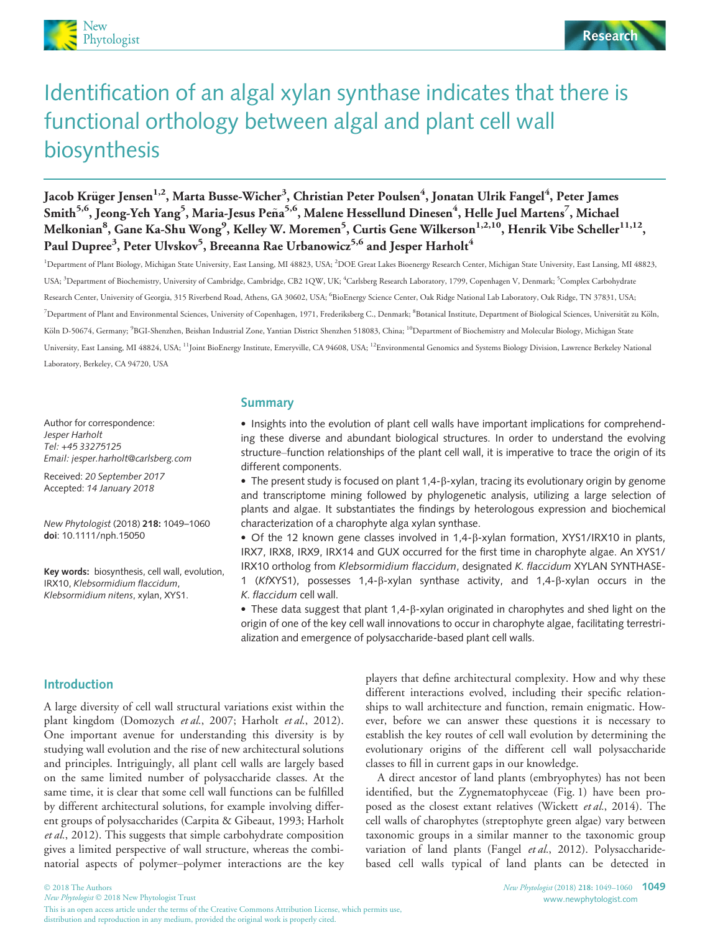

# Identification of an algal xylan synthase indicates that there is functional orthology between algal and plant cell wall biosynthesis

Jacob Krüger Jensen<sup>1,2</sup>, Marta Busse-Wicher<sup>3</sup>, Christian Peter Poulsen<sup>4</sup>, Jonatan Ulrik Fangel<sup>4</sup>, Peter James Smith<sup>5,6</sup>, Jeong-Yeh Yang<sup>5</sup>, Maria-Jesus Peña<sup>5,6</sup>, Malene Hessellund Dinesen<sup>4</sup>, Helle Juel Martens<sup>7</sup>, Michael Melkonian $^8$ , Gane Ka-Shu Wong $^9$ , Kelley W. Moremen $^5$ , Curtis Gene Wilkerson $^{1,2,10}$ , Henrik Vibe Scheller $^{11,12},$ Paul Dupree<sup>3</sup>, Peter Ulvskov<sup>5</sup>, Breeanna Rae Urbanowicz<sup>5,6</sup> and Jesper Harholt<sup>4</sup>

<sup>1</sup>Department of Plant Biology, Michigan State University, East Lansing, MI 48823, USA; <sup>2</sup>DOE Great Lakes Bioenergy Research Center, Michigan State University, East Lansing, MI 48823, USA; <sup>3</sup>Department of Biochemistry, University of Cambridge, Cambridge, CB2 1QW, UK; <sup>4</sup>Carlsberg Research Laboratory, 1799, Copenhagen V, Denmark; <sup>5</sup>Complex Carbohydrate Research Center, University of Georgia, 315 Riverbend Road, Athens, GA 30602, USA; <sup>6</sup>BioEnergy Science Center, Oak Ridge National Lab Laboratory, Oak Ridge, TN 37831, USA; <sup>7</sup>Department of Plant and Environmental Sciences, University of Copenhagen, 1971, Frederiksberg C., Denmark; <sup>8</sup>Botanical Institute, Department of Biological Sciences, Universität zu Köln, Köln D-50674, Germany; <sup>9</sup>BGI-Shenzhen, Beishan Industrial Zone, Yantian District Shenzhen 518083, China; <sup>10</sup>Department of Biochemistry and Molecular Biology, Michigan State University, East Lansing, MI 48824, USA; <sup>11</sup>Joint BioEnergy Institute, Emeryville, CA 94608, USA; <sup>12</sup>Environmental Genomics and Systems Biology Division, Lawrence Berkeley National Laboratory, Berkeley, CA 94720, USA

Author for correspondence: Jesper Harholt Tel: +45 33275125 Email: jesper.harholt@carlsberg.com

Received: 20 September 2017 Accepted: 14 January 2018

New Phytologist (2018) 218: 1049–1060 doi: 10.1111/nph.15050

Key words: biosynthesis, cell wall, evolution, IRX10, Klebsormidium flaccidum, Klebsormidium nitens, xylan, XYS1.

#### Summary

• Insights into the evolution of plant cell walls have important implications for comprehending these diverse and abundant biological structures. In order to understand the evolving structure–function relationships of the plant cell wall, it is imperative to trace the origin of its different components.

 $\bullet$  The present study is focused on plant 1,4- $\beta$ -xylan, tracing its evolutionary origin by genome and transcriptome mining followed by phylogenetic analysis, utilizing a large selection of plants and algae. It substantiates the findings by heterologous expression and biochemical characterization of a charophyte alga xylan synthase.

 Of the 12 known gene classes involved in 1,4-b-xylan formation, XYS1/IRX10 in plants, IRX7, IRX8, IRX9, IRX14 and GUX occurred for the first time in charophyte algae. An XYS1/ IRX10 ortholog from Klebsormidium flaccidum, designated K. flaccidum XYLAN SYNTHASE-1 (KfXYS1), possesses 1,4- $\beta$ -xylan synthase activity, and 1,4- $\beta$ -xylan occurs in the K. flaccidum cell wall.

• These data suggest that plant  $1,4$ - $\beta$ -xylan originated in charophytes and shed light on the origin of one of the key cell wall innovations to occur in charophyte algae, facilitating terrestrialization and emergence of polysaccharide-based plant cell walls.

## Introduction

A large diversity of cell wall structural variations exist within the plant kingdom (Domozych et al., 2007; Harholt et al., 2012). One important avenue for understanding this diversity is by studying wall evolution and the rise of new architectural solutions and principles. Intriguingly, all plant cell walls are largely based on the same limited number of polysaccharide classes. At the same time, it is clear that some cell wall functions can be fulfilled by different architectural solutions, for example involving different groups of polysaccharides (Carpita & Gibeaut, 1993; Harholt et al., 2012). This suggests that simple carbohydrate composition gives a limited perspective of wall structure, whereas the combinatorial aspects of polymer–polymer interactions are the key

players that define architectural complexity. How and why these different interactions evolved, including their specific relationships to wall architecture and function, remain enigmatic. However, before we can answer these questions it is necessary to establish the key routes of cell wall evolution by determining the evolutionary origins of the different cell wall polysaccharide classes to fill in current gaps in our knowledge.

A direct ancestor of land plants (embryophytes) has not been identified, but the Zygnematophyceae (Fig. 1) have been proposed as the closest extant relatives (Wickett et al., 2014). The cell walls of charophytes (streptophyte green algae) vary between taxonomic groups in a similar manner to the taxonomic group variation of land plants (Fangel et al., 2012). Polysaccharidebased cell walls typical of land plants can be detected in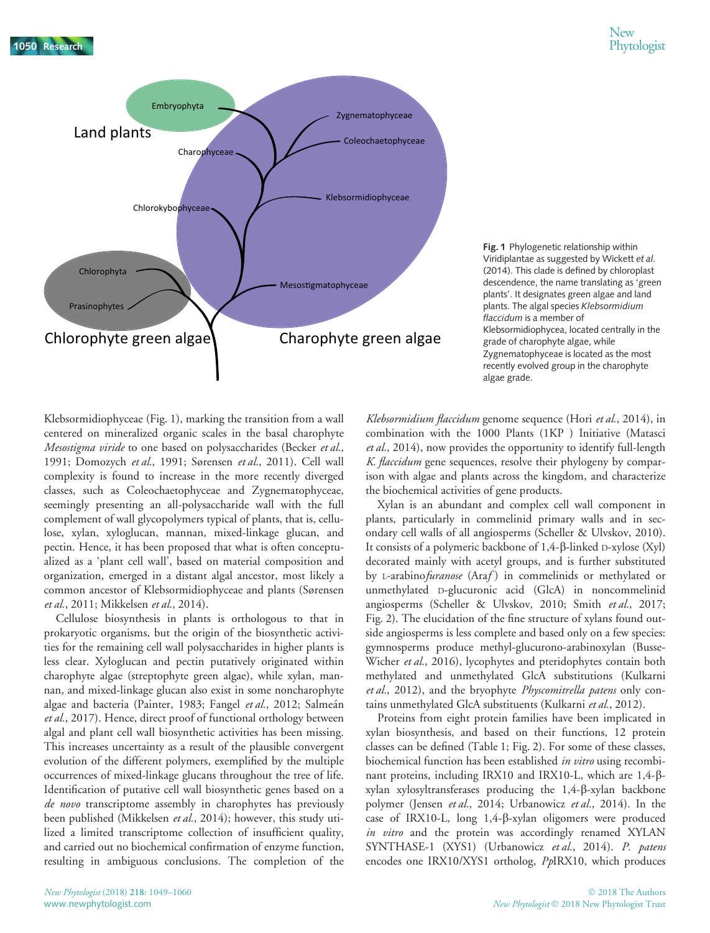1050 Research 1050 Phytologist



Fig. 1 Phylogenetic relationship within Viridiplantae as suggested by Wickett et al. (2014). This clade is defined by chloroplast descendence, the name translating as 'green plants'. It designates green algae and land plants. The algal species Klebsormidium flaccidum is a member of Klebsormidiophycea, located centrally in the grade of charophyte algae, while Zygnematophyceae is located as the most recently evolved group in the charophyte algae grade.

Klebsormidiophyceae (Fig. 1), marking the transition from a wall centered on mineralized organic scales in the basal charophyte Mesostigma viride to one based on polysaccharides (Becker et al., 1991; Domozych et al., 1991; Sørensen et al., 2011). Cell wall complexity is found to increase in the more recently diverged classes, such as Coleochaetophyceae and Zygnematophyceae, seemingly presenting an all-polysaccharide wall with the full complement of wall glycopolymers typical of plants, that is, cellulose, xylan, xyloglucan, mannan, mixed-linkage glucan, and pectin. Hence, it has been proposed that what is often conceptualized as a 'plant cell wall', based on material composition and organization, emerged in a distant algal ancestor, most likely a common ancestor of Klebsormidiophyceae and plants (Sørensen et al., 2011; Mikkelsen et al., 2014).

Cellulose biosynthesis in plants is orthologous to that in prokaryotic organisms, but the origin of the biosynthetic activities for the remaining cell wall polysaccharides in higher plants is less clear. Xyloglucan and pectin putatively originated within charophyte algae (streptophyte green algae), while xylan, mannan, and mixed-linkage glucan also exist in some noncharophyte algae and bacteria (Painter, 1983; Fangel *et al.*, 2012; Salmeán et al., 2017). Hence, direct proof of functional orthology between algal and plant cell wall biosynthetic activities has been missing. This increases uncertainty as a result of the plausible convergent evolution of the different polymers, exemplified by the multiple occurrences of mixed-linkage glucans throughout the tree of life. Identification of putative cell wall biosynthetic genes based on a de novo transcriptome assembly in charophytes has previously been published (Mikkelsen et al., 2014); however, this study utilized a limited transcriptome collection of insufficient quality, and carried out no biochemical confirmation of enzyme function, resulting in ambiguous conclusions. The completion of the

Klebsormidium flaccidum genome sequence (Hori et al., 2014), in combination with the 1000 Plants (1KP ) Initiative (Matasci et al., 2014), now provides the opportunity to identify full-length K. *flaccidum* gene sequences, resolve their phylogeny by comparison with algae and plants across the kingdom, and characterize the biochemical activities of gene products.

Xylan is an abundant and complex cell wall component in plants, particularly in commelinid primary walls and in secondary cell walls of all angiosperms (Scheller & Ulvskov, 2010). It consists of a polymeric backbone of  $1,4$ - $\beta$ -linked D-xylose (Xyl) decorated mainly with acetyl groups, and is further substituted by L-arabinofuranose (Araf) in commelinids or methylated or unmethylated D-glucuronic acid (GlcA) in noncommelinid angiosperms (Scheller & Ulvskov, 2010; Smith et al., 2017; Fig. 2). The elucidation of the fine structure of xylans found outside angiosperms is less complete and based only on a few species: gymnosperms produce methyl-glucurono-arabinoxylan (Busse-Wicher et al., 2016), lycophytes and pteridophytes contain both methylated and unmethylated GlcA substitutions (Kulkarni et al., 2012), and the bryophyte Physcomitrella patens only contains unmethylated GlcA substituents (Kulkarni et al., 2012).

Proteins from eight protein families have been implicated in xylan biosynthesis, and based on their functions, 12 protein classes can be defined (Table 1; Fig. 2). For some of these classes, biochemical function has been established in vitro using recombinant proteins, including IRX10 and IRX10-L, which are 1,4-bxylan xylosyltransferases producing the 1,4-b-xylan backbone polymer (Jensen et al., 2014; Urbanowicz et al., 2014). In the case of IRX10-L, long 1,4-b-xylan oligomers were produced in vitro and the protein was accordingly renamed XYLAN SYNTHASE-1 (XYS1) (Urbanowicz et al., 2014). P. patens encodes one IRX10/XYS1 ortholog, PpIRX10, which produces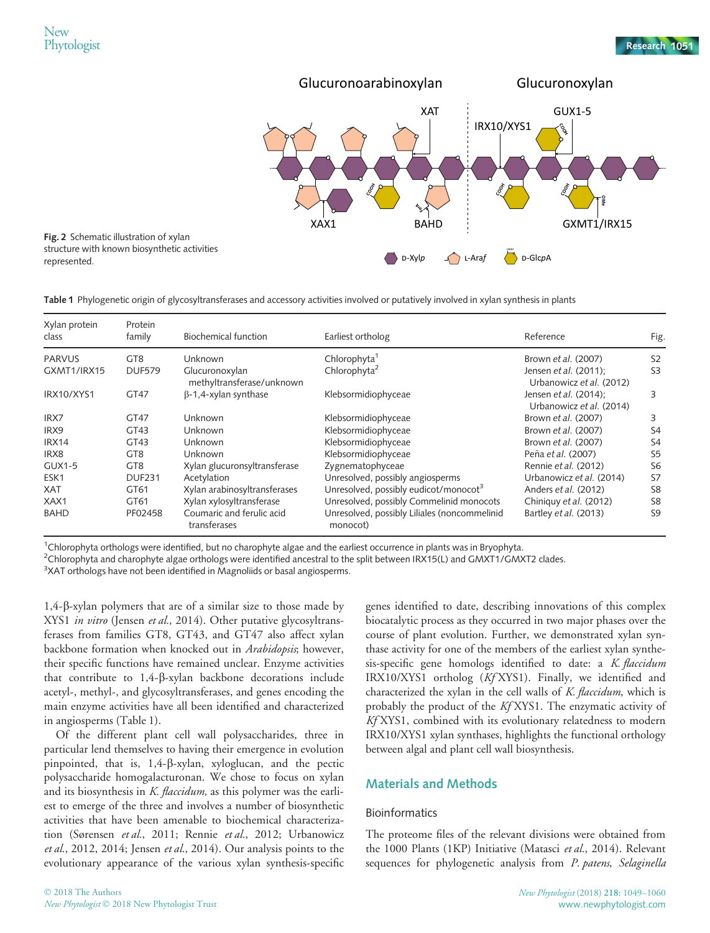represented.



Table 1 Phylogenetic origin of glycosyltransferases and accessory activities involved or putatively involved in xylan synthesis in plants

| Xylan protein<br>class | Protein<br>family | Biochemical function                        | Earliest ortholog                                        | Reference                                         | Fig.           |
|------------------------|-------------------|---------------------------------------------|----------------------------------------------------------|---------------------------------------------------|----------------|
| <b>PARVUS</b>          | GT <sub>8</sub>   | Unknown                                     | Chlorophyta <sup>1</sup>                                 | Brown et al. (2007)                               | S <sub>2</sub> |
| GXMT1/IRX15            | <b>DUF579</b>     | Glucuronoxylan<br>methyltransferase/unknown | Chlorophyta <sup>2</sup>                                 | Jensen et al. (2011);<br>Urbanowicz et al. (2012) | S <sub>3</sub> |
| IRX10/XYS1             | GT47              | $\beta$ -1,4-xylan synthase                 | Klebsormidiophyceae                                      | Jensen et al. (2014);<br>Urbanowicz et al. (2014) | 3              |
| IRX7                   | GT47              | Unknown                                     | Klebsormidiophyceae                                      | Brown et al. (2007)                               | 3              |
| IRX9                   | GT43              | Unknown                                     | Klebsormidiophyceae                                      | Brown et al. (2007)                               | S4             |
| IRX14                  | GT <sub>43</sub>  | Unknown                                     | Klebsormidiophyceae                                      | Brown et al. (2007)                               | S <sub>4</sub> |
| IRX8                   | GT <sub>8</sub>   | Unknown                                     | Klebsormidiophyceae                                      | Peña et al. (2007)                                | S <sub>5</sub> |
| <b>GUX1-5</b>          | GT <sub>8</sub>   | Xylan glucuronsyltransferase                | Zygnematophyceae                                         | Rennie et al. (2012)                              | S <sub>6</sub> |
| ESK <sub>1</sub>       | <b>DUF231</b>     | Acetylation                                 | Unresolved, possibly angiosperms                         | Urbanowicz et al. (2014)                          | S7             |
| <b>XAT</b>             | GT61              | Xylan arabinosyltransferases                | Unresolved, possibly eudicot/monocot <sup>3</sup>        | Anders et al. (2012)                              | S <sub>8</sub> |
| XAX1                   | GT61              | Xylan xylosyltransferase                    | Unresolved, possibly Commelinid monocots                 | Chiniquy et al. (2012)                            | S <sub>8</sub> |
| <b>BAHD</b>            | PF02458           | Coumaric and ferulic acid<br>transferases   | Unresolved, possibly Liliales (noncommelinid<br>monocot) | Bartley et al. (2013)                             | S <sub>9</sub> |

1 Chlorophyta orthologs were identified, but no charophyte algae and the earliest occurrence in plants was in Bryophyta.

 $^2$ Chlorophyta and charophyte algae orthologs were identified ancestral to the split between IRX15(L) and GMXT1/GMXT2 clades.

 $3$ XAT orthologs have not been identified in Magnoliids or basal angiosperms.

1,4-b-xylan polymers that are of a similar size to those made by XYS1 in vitro (Jensen et al., 2014). Other putative glycosyltransferases from families GT8, GT43, and GT47 also affect xylan backbone formation when knocked out in Arabidopsis; however, their specific functions have remained unclear. Enzyme activities that contribute to 1,4-b-xylan backbone decorations include acetyl-, methyl-, and glycosyltransferases, and genes encoding the main enzyme activities have all been identified and characterized in angiosperms (Table 1).

Of the different plant cell wall polysaccharides, three in particular lend themselves to having their emergence in evolution pinpointed, that is, 1,4-b-xylan, xyloglucan, and the pectic polysaccharide homogalacturonan. We chose to focus on xylan and its biosynthesis in K. flaccidum, as this polymer was the earliest to emerge of the three and involves a number of biosynthetic activities that have been amenable to biochemical characterization (Sørensen et al., 2011; Rennie et al., 2012; Urbanowicz et al., 2012, 2014; Jensen et al., 2014). Our analysis points to the evolutionary appearance of the various xylan synthesis-specific

genes identified to date, describing innovations of this complex biocatalytic process as they occurred in two major phases over the course of plant evolution. Further, we demonstrated xylan synthase activity for one of the members of the earliest xylan synthesis-specific gene homologs identified to date: a K. flaccidum IRX10/XYS1 ortholog (Kf XYS1). Finally, we identified and characterized the xylan in the cell walls of K. flaccidum, which is probably the product of the Kf XYS1. The enzymatic activity of Kf XYS1, combined with its evolutionary relatedness to modern IRX10/XYS1 xylan synthases, highlights the functional orthology between algal and plant cell wall biosynthesis.

# Materials and Methods

#### Bioinformatics

The proteome files of the relevant divisions were obtained from the 1000 Plants (1KP) Initiative (Matasci et al., 2014). Relevant sequences for phylogenetic analysis from P. patens, Selaginella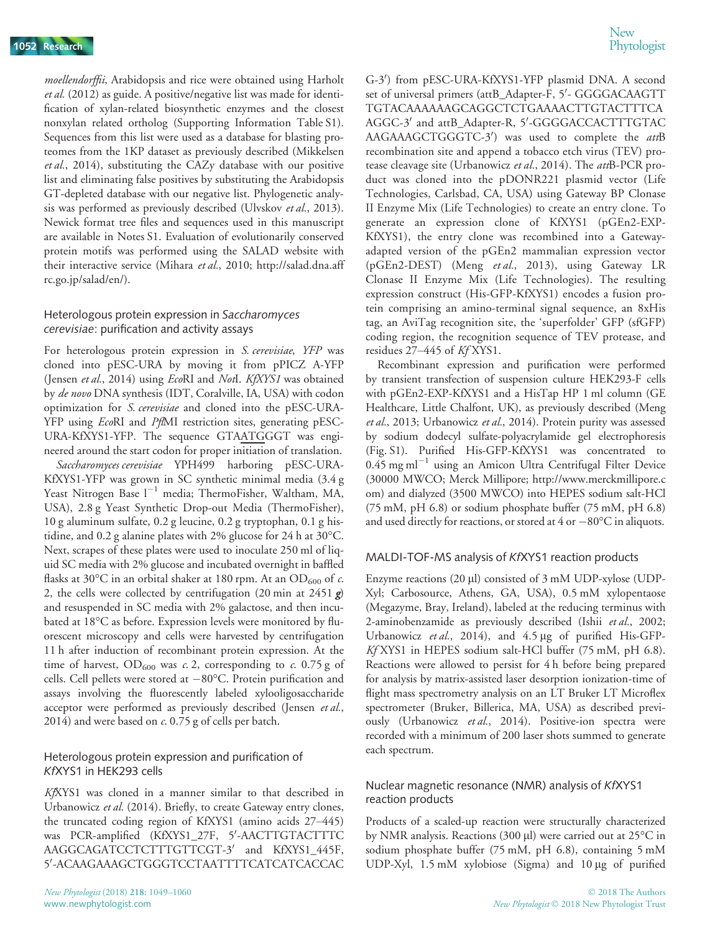moellendorffii, Arabidopsis and rice were obtained using Harholt et al. (2012) as guide. A positive/negative list was made for identification of xylan-related biosynthetic enzymes and the closest nonxylan related ortholog (Supporting Information Table S1). Sequences from this list were used as a database for blasting proteomes from the 1KP dataset as previously described (Mikkelsen et al., 2014), substituting the CAZy database with our positive list and eliminating false positives by substituting the Arabidopsis GT-depleted database with our negative list. Phylogenetic analysis was performed as previously described (Ulvskov et al., 2013). Newick format tree files and sequences used in this manuscript are available in Notes S1. Evaluation of evolutionarily conserved protein motifs was performed using the SALAD website with their interactive service (Mihara et al., 2010; [http://salad.dna.aff](http://salad.dna.affrc.go.jp/salad/en/) [rc.go.jp/salad/en/\)](http://salad.dna.affrc.go.jp/salad/en/).

## Heterologous protein expression in Saccharomyces cerevisiae: purification and activity assays

For heterologous protein expression in S. cerevisiae, YFP was cloned into pESC-URA by moving it from pPICZ A-YFP (Jensen et al., 2014) using EcoRI and Notl. KfXYS1 was obtained by de novo DNA synthesis (IDT, Coralville, IA, USA) with codon optimization for S. cerevisiae and cloned into the pESC-URA-YFP using *Eco*RI and *PflMI* restriction sites, generating pESC-URA-KfXYS1-YFP. The sequence GTAATGGGT was engineered around the start codon for proper initiation of translation. Saccharomyces cerevisiae YPH499 harboring pESC-URA-

KfXYS1-YFP was grown in SC synthetic minimal media (3.4 g Yeast Nitrogen Base  $l^{-1}$  media; ThermoFisher, Waltham, MA, USA), 2.8 g Yeast Synthetic Drop-out Media (ThermoFisher), 10 g aluminum sulfate, 0.2 g leucine, 0.2 g tryptophan, 0.1 g histidine, and 0.2 g alanine plates with 2% glucose for 24 h at 30°C. Next, scrapes of these plates were used to inoculate 250 ml of liquid SC media with 2% glucose and incubated overnight in baffled flasks at 30°C in an orbital shaker at 180 rpm. At an OD<sub>600</sub> of c. 2, the cells were collected by centrifugation (20 min at 2451  $g$ ) and resuspended in SC media with 2% galactose, and then incubated at 18°C as before. Expression levels were monitored by fluorescent microscopy and cells were harvested by centrifugation 11 h after induction of recombinant protein expression. At the time of harvest,  $OD_{600}$  was c. 2, corresponding to c. 0.75 g of cells. Cell pellets were stored at  $-80^{\circ}$ C. Protein purification and assays involving the fluorescently labeled xylooligosaccharide acceptor were performed as previously described (Jensen et al., 2014) and were based on  $c$ . 0.75 g of cells per batch.

## Heterologous protein expression and purification of KfXYS1 in HEK293 cells

KfXYS1 was cloned in a manner similar to that described in Urbanowicz et al. (2014). Briefly, to create Gateway entry clones, the truncated coding region of KfXYS1 (amino acids 27–445) was PCR-amplified (KfXYS1\_27F, 5'-AACTTGTACTTTC AAGGCAGATCCTCTTTGTTCGT-3' and KfXYS1\_445F, 5'-ACAAGAAAGCTGGGTCCTAATTTTCATCATCACCAC

G-30 ) from pESC-URA-KfXYS1-YFP plasmid DNA. A second set of universal primers (attB\_Adapter-F, 5'- GGGGACAAGTT TGTACAAAAAAGCAGGCTCTGAAAACTTGTACTTTCA AGGC-3' and attB\_Adapter-R, 5'-GGGGACCACTTTGTAC AAGAAAGCTGGGTC-3') was used to complete the *att*B recombination site and append a tobacco etch virus (TEV) protease cleavage site (Urbanowicz et al., 2014). The attB-PCR product was cloned into the pDONR221 plasmid vector (Life Technologies, Carlsbad, CA, USA) using Gateway BP Clonase II Enzyme Mix (Life Technologies) to create an entry clone. To generate an expression clone of KfXYS1 (pGEn2-EXP-KfXYS1), the entry clone was recombined into a Gatewayadapted version of the pGEn2 mammalian expression vector (pGEn2-DEST) (Meng et al., 2013), using Gateway LR Clonase II Enzyme Mix (Life Technologies). The resulting expression construct (His-GFP-KfXYS1) encodes a fusion protein comprising an amino-terminal signal sequence, an 8xHis tag, an AviTag recognition site, the 'superfolder' GFP (sfGFP) coding region, the recognition sequence of TEV protease, and residues 27–445 of Kf XYS1.

Recombinant expression and purification were performed by transient transfection of suspension culture HEK293-F cells with pGEn2-EXP-KfXYS1 and a HisTap HP 1 ml column (GE Healthcare, Little Chalfont, UK), as previously described (Meng et al., 2013; Urbanowicz et al., 2014). Protein purity was assessed by sodium dodecyl sulfate-polyacrylamide gel electrophoresis (Fig. S1). Purified His-GFP-KfXYS1 was concentrated to  $0.45$  mg ml<sup>-1</sup> using an Amicon Ultra Centrifugal Filter Device (30000 MWCO; Merck Millipore; [http://www.merckmillipore.c](http://www.merckmillipore.com) [om](http://www.merckmillipore.com)) and dialyzed (3500 MWCO) into HEPES sodium salt-HCl (75 mM, pH 6.8) or sodium phosphate buffer (75 mM, pH 6.8) and used directly for reactions, or stored at  $4$  or  $-80^{\circ}$ C in aliquots.

## MALDI-TOF-MS analysis of KfXYS1 reaction products

Enzyme reactions (20 µl) consisted of 3 mM UDP-xylose (UDP-Xyl; Carbosource, Athens, GA, USA), 0.5 mM xylopentaose (Megazyme, Bray, Ireland), labeled at the reducing terminus with 2-aminobenzamide as previously described (Ishii et al., 2002; Urbanowicz et al., 2014), and  $4.5 \mu$ g of purified His-GFP-Kf XYS1 in HEPES sodium salt-HCl buffer (75 mM, pH 6.8). Reactions were allowed to persist for 4 h before being prepared for analysis by matrix-assisted laser desorption ionization-time of flight mass spectrometry analysis on an LT Bruker LT Microflex spectrometer (Bruker, Billerica, MA, USA) as described previously (Urbanowicz et al., 2014). Positive-ion spectra were recorded with a minimum of 200 laser shots summed to generate each spectrum.

#### Nuclear magnetic resonance (NMR) analysis of KfXYS1 reaction products

Products of a scaled-up reaction were structurally characterized by NMR analysis. Reactions (300  $\mu$ l) were carried out at 25 $\rm ^{\circ}C$  in sodium phosphate buffer (75 mM, pH 6.8), containing 5 mM UDP-Xyl, 1.5 mM xylobiose (Sigma) and 10 µg of purified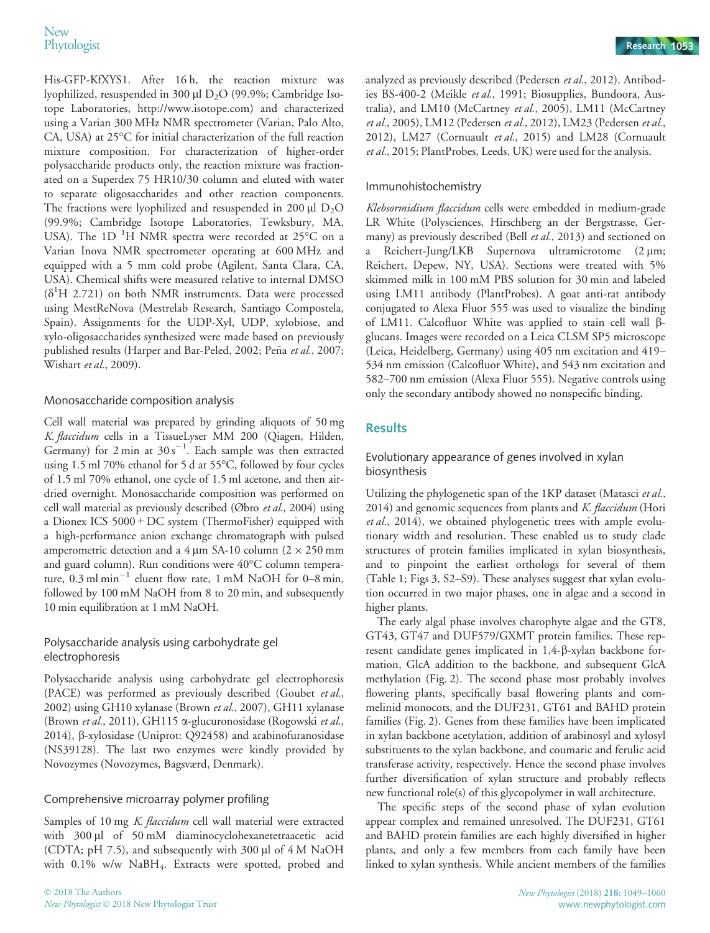His-GFP-KfXYS1. After 16 h, the reaction mixture was lyophilized, resuspended in 300  $\mu$ l D<sub>2</sub>O (99.9%; Cambridge Isotope Laboratories, [http://www.isotope.com\)](http://www.isotope.com) and characterized using a Varian 300 MHz NMR spectrometer (Varian, Palo Alto, CA, USA) at 25°C for initial characterization of the full reaction mixture composition. For characterization of higher-order polysaccharide products only, the reaction mixture was fractionated on a Superdex 75 HR10/30 column and eluted with water to separate oligosaccharides and other reaction components. The fractions were lyophilized and resuspended in 200  $\mu$ l D<sub>2</sub>O (99.9%; Cambridge Isotope Laboratories, Tewksbury, MA, USA). The 1D <sup>1</sup>H NMR spectra were recorded at 25 $^{\circ}$ C on a Varian Inova NMR spectrometer operating at 600 MHz and equipped with a 5 mm cold probe (Agilent, Santa Clara, CA, USA). Chemical shifts were measured relative to internal DMSO  $(\delta^1H 2.721)$  on both NMR instruments. Data were processed using MestReNova (Mestrelab Research, Santiago Compostela, Spain). Assignments for the UDP-Xyl, UDP, xylobiose, and xylo-oligosaccharides synthesized were made based on previously published results (Harper and Bar-Peled, 2002; Peña et al., 2007; Wishart et al., 2009).

## Monosaccharide composition analysis

Cell wall material was prepared by grinding aliquots of 50 mg K. flaccidum cells in a TissueLyser MM 200 (Qiagen, Hilden, Germany) for  $2 \text{ min}$  at  $30 \text{ s}^{-1}$ . Each sample was then extracted using 1.5 ml 70% ethanol for 5 d at 55°C, followed by four cycles of 1.5 ml 70% ethanol, one cycle of 1.5 ml acetone, and then airdried overnight. Monosaccharide composition was performed on cell wall material as previously described (Øbro et al., 2004) using a Dionex ICS 5000 + DC system (ThermoFisher) equipped with a high-performance anion exchange chromatograph with pulsed amperometric detection and a 4  $\mu$ m SA-10 column (2  $\times$  250 mm and guard column). Run conditions were 40°C column temperature,  $0.3$  ml min<sup>-1</sup> eluent flow rate, 1 mM NaOH for 0-8 min, followed by 100 mM NaOH from 8 to 20 min, and subsequently 10 min equilibration at 1 mM NaOH.

## Polysaccharide analysis using carbohydrate gel electrophoresis

Polysaccharide analysis using carbohydrate gel electrophoresis (PACE) was performed as previously described (Goubet et al., 2002) using GH10 xylanase (Brown et al., 2007), GH11 xylanase (Brown et al., 2011), GH115 a-glucuronosidase (Rogowski et al., 2014), b-xylosidase (Uniprot: Q92458) and arabinofuranosidase (NS39128). The last two enzymes were kindly provided by Novozymes (Novozymes, Bagsværd, Denmark).

## Comprehensive microarray polymer profiling

Samples of 10 mg K. flaccidum cell wall material were extracted with 300 µl of 50 mM diaminocyclohexanetetraacetic acid (CDTA; pH 7.5), and subsequently with 300  $\mu$ l of 4 M NaOH with 0.1% w/w NaBH<sub>4</sub>. Extracts were spotted, probed and

analyzed as previously described (Pedersen et al., 2012). Antibodies BS-400-2 (Meikle et al., 1991; Biosupplies, Bundoora, Australia), and LM10 (McCartney et al., 2005), LM11 (McCartney et al., 2005), LM12 (Pedersen et al., 2012), LM23 (Pedersen et al., 2012), LM27 (Cornuault et al., 2015) and LM28 (Cornuault et al., 2015; PlantProbes, Leeds, UK) were used for the analysis.

# Immunohistochemistry

Klebsormidium flaccidum cells were embedded in medium-grade LR White (Polysciences, Hirschberg an der Bergstrasse, Germany) as previously described (Bell et al., 2013) and sectioned on a Reichert-Jung/LKB Supernova ultramicrotome (2 µm; Reichert, Depew, NY, USA). Sections were treated with 5% skimmed milk in 100 mM PBS solution for 30 min and labeled using LM11 antibody (PlantProbes). A goat anti-rat antibody conjugated to Alexa Fluor 555 was used to visualize the binding of LM11. Calcofluor White was applied to stain cell wall  $\beta$ glucans. Images were recorded on a Leica CLSM SP5 microscope (Leica, Heidelberg, Germany) using 405 nm excitation and 419– 534 nm emission (Calcofluor White), and 543 nm excitation and 582–700 nm emission (Alexa Fluor 555). Negative controls using only the secondary antibody showed no nonspecific binding.

# **Results**

## Evolutionary appearance of genes involved in xylan biosynthesis

Utilizing the phylogenetic span of the 1KP dataset (Matasci et al., 2014) and genomic sequences from plants and  $K.$  flaccidum (Hori et al., 2014), we obtained phylogenetic trees with ample evolutionary width and resolution. These enabled us to study clade structures of protein families implicated in xylan biosynthesis, and to pinpoint the earliest orthologs for several of them (Table 1; Figs 3, S2–S9). These analyses suggest that xylan evolution occurred in two major phases, one in algae and a second in higher plants.

The early algal phase involves charophyte algae and the GT8, GT43, GT47 and DUF579/GXMT protein families. These represent candidate genes implicated in 1,4-b-xylan backbone formation, GlcA addition to the backbone, and subsequent GlcA methylation (Fig. 2). The second phase most probably involves flowering plants, specifically basal flowering plants and commelinid monocots, and the DUF231, GT61 and BAHD protein families (Fig. 2). Genes from these families have been implicated in xylan backbone acetylation, addition of arabinosyl and xylosyl substituents to the xylan backbone, and coumaric and ferulic acid transferase activity, respectively. Hence the second phase involves further diversification of xylan structure and probably reflects new functional role(s) of this glycopolymer in wall architecture.

The specific steps of the second phase of xylan evolution appear complex and remained unresolved. The DUF231, GT61 and BAHD protein families are each highly diversified in higher plants, and only a few members from each family have been linked to xylan synthesis. While ancient members of the families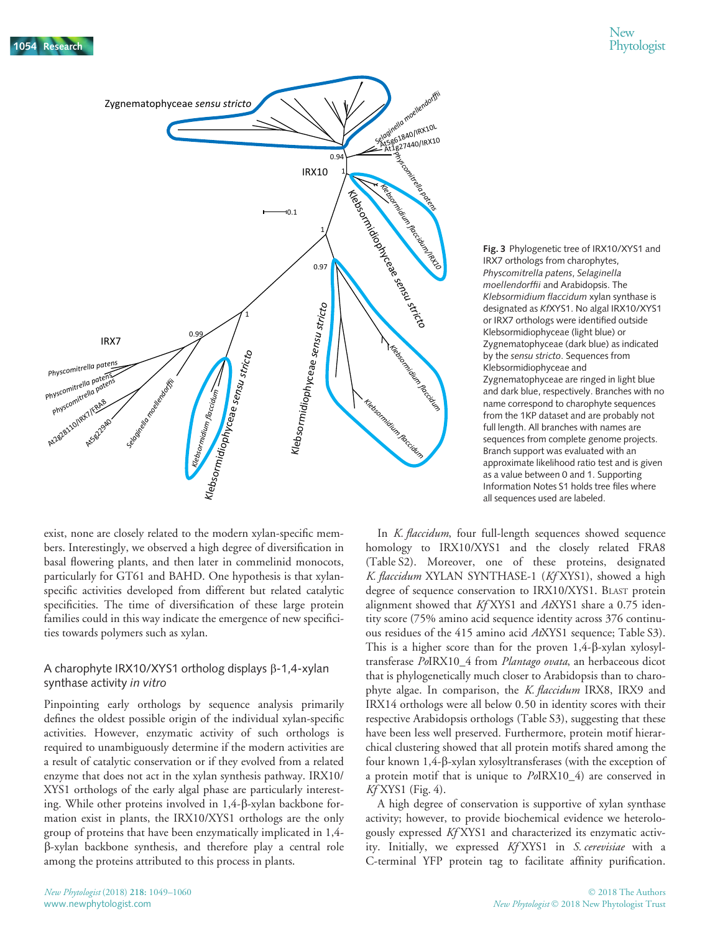

exist, none are closely related to the modern xylan-specific members. Interestingly, we observed a high degree of diversification in basal flowering plants, and then later in commelinid monocots, particularly for GT61 and BAHD. One hypothesis is that xylanspecific activities developed from different but related catalytic specificities. The time of diversification of these large protein families could in this way indicate the emergence of new specificities towards polymers such as xylan.

## A charophyte IRX10/XYS1 ortholog displays  $\beta$ -1,4-xylan synthase activity in vitro

Pinpointing early orthologs by sequence analysis primarily defines the oldest possible origin of the individual xylan-specific activities. However, enzymatic activity of such orthologs is required to unambiguously determine if the modern activities are a result of catalytic conservation or if they evolved from a related enzyme that does not act in the xylan synthesis pathway. IRX10/ XYS1 orthologs of the early algal phase are particularly interesting. While other proteins involved in 1,4- $\beta$ -xylan backbone formation exist in plants, the IRX10/XYS1 orthologs are the only group of proteins that have been enzymatically implicated in 1,4 b-xylan backbone synthesis, and therefore play a central role among the proteins attributed to this process in plants.

Fig. 3 Phylogenetic tree of IRX10/XYS1 and IRX7 orthologs from charophytes, Physcomitrella patens, Selaginella moellendorffii and Arabidopsis. The Klebsormidium flaccidum xylan synthase is designated as KfXYS1. No algal IRX10/XYS1 or IRX7 orthologs were identified outside Klebsormidiophyceae (light blue) or Zygnematophyceae (dark blue) as indicated by the sensu stricto. Sequences from Klebsormidiophyceae and Zygnematophyceae are ringed in light blue and dark blue, respectively. Branches with no name correspond to charophyte sequences from the 1KP dataset and are probably not full length. All branches with names are sequences from complete genome projects. Branch support was evaluated with an approximate likelihood ratio test and is given as a value between 0 and 1. Supporting Information Notes S1 holds tree files where all sequences used are labeled.

In *K. flaccidum*, four full-length sequences showed sequence homology to IRX10/XYS1 and the closely related FRA8 (Table S2). Moreover, one of these proteins, designated K. flaccidum XYLAN SYNTHASE-1 (Kf XYS1), showed a high degree of sequence conservation to IRX10/XYS1. BLAST protein alignment showed that Kf XYS1 and AtXYS1 share a 0.75 identity score (75% amino acid sequence identity across 376 continuous residues of the 415 amino acid AtXYS1 sequence; Table S3). This is a higher score than for the proven  $1,4$ - $\beta$ -xylan xylosyltransferase PoIRX10\_4 from Plantago ovata, an herbaceous dicot that is phylogenetically much closer to Arabidopsis than to charophyte algae. In comparison, the *K. flaccidum* IRX8, IRX9 and IRX14 orthologs were all below 0.50 in identity scores with their respective Arabidopsis orthologs (Table S3), suggesting that these have been less well preserved. Furthermore, protein motif hierarchical clustering showed that all protein motifs shared among the four known 1,4-b-xylan xylosyltransferases (with the exception of a protein motif that is unique to PoIRX10\_4) are conserved in  $K_f$ XYS1 (Fig. 4).

A high degree of conservation is supportive of xylan synthase activity; however, to provide biochemical evidence we heterologously expressed Kf XYS1 and characterized its enzymatic activity. Initially, we expressed Kf XYS1 in S. cerevisiae with a C-terminal YFP protein tag to facilitate affinity purification.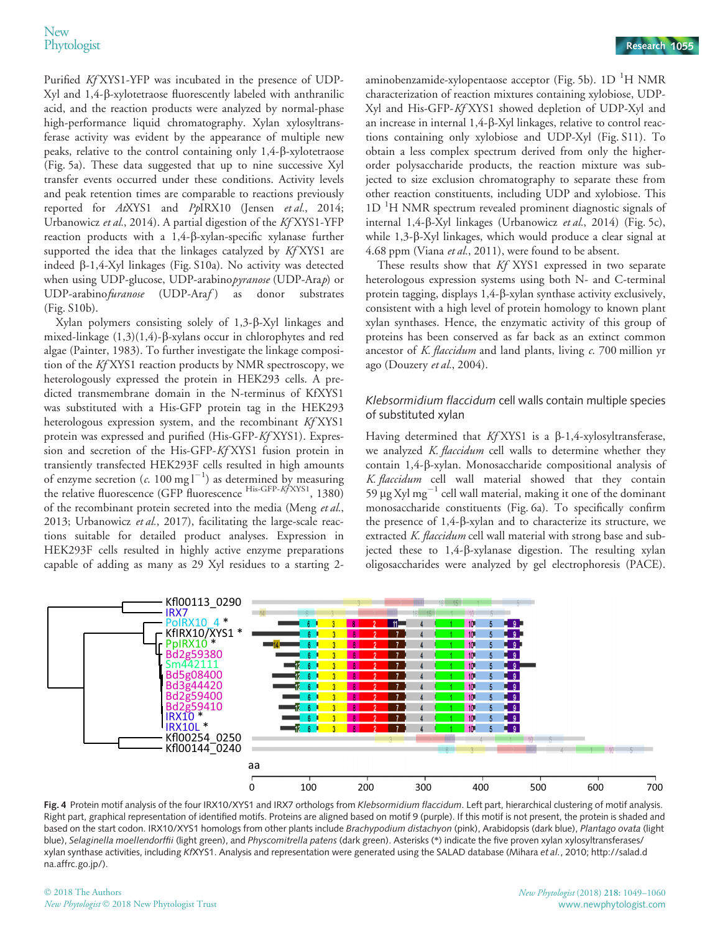Purified Kf XYS1-YFP was incubated in the presence of UDP-Xyl and 1,4-b-xylotetraose fluorescently labeled with anthranilic acid, and the reaction products were analyzed by normal-phase high-performance liquid chromatography. Xylan xylosyltransferase activity was evident by the appearance of multiple new peaks, relative to the control containing only 1,4-b-xylotetraose (Fig. 5a). These data suggested that up to nine successive Xyl transfer events occurred under these conditions. Activity levels and peak retention times are comparable to reactions previously reported for AtXYS1 and PpIRX10 (Jensen et al., 2014; Urbanowicz et al., 2014). A partial digestion of the Kf XYS1-YFP reaction products with a 1,4-b-xylan-specific xylanase further supported the idea that the linkages catalyzed by Kf XYS1 are indeed b-1,4-Xyl linkages (Fig. S10a). No activity was detected when using UDP-glucose, UDP-arabinopyranose (UDP-Arap) or UDP-arabino furanose (UDP-Araf) as donor substrates (Fig. S10b).

Xylan polymers consisting solely of 1,3- $\beta$ -Xyl linkages and mixed-linkage (1,3)(1,4)-β-xylans occur in chlorophytes and red algae (Painter, 1983). To further investigate the linkage composition of the Kf XYS1 reaction products by NMR spectroscopy, we heterologously expressed the protein in HEK293 cells. A predicted transmembrane domain in the N-terminus of KfXYS1 was substituted with a His-GFP protein tag in the HEK293 heterologous expression system, and the recombinant Kf XYS1 protein was expressed and purified (His-GFP-Kf XYS1). Expression and secretion of the His-GFP-Kf XYS1 fusion protein in transiently transfected HEK293F cells resulted in high amounts of enzyme secretion ( $c$ . 100 mg  $l^{-1}$ ) as determined by measuring the relative fluorescence (GFP fluorescence His-GFP-KfXYS1, 1380) of the recombinant protein secreted into the media (Meng et al., 2013; Urbanowicz et al., 2017), facilitating the large-scale reactions suitable for detailed product analyses. Expression in HEK293F cells resulted in highly active enzyme preparations capable of adding as many as 29 Xyl residues to a starting 2-

aminobenzamide-xylopentaose acceptor (Fig. 5b). 1D <sup>1</sup>H NMR characterization of reaction mixtures containing xylobiose, UDP-Xyl and His-GFP-Kf XYS1 showed depletion of UDP-Xyl and an increase in internal 1,4-b-Xyl linkages, relative to control reactions containing only xylobiose and UDP-Xyl (Fig. S11). To obtain a less complex spectrum derived from only the higherorder polysaccharide products, the reaction mixture was subjected to size exclusion chromatography to separate these from other reaction constituents, including UDP and xylobiose. This 1D<sup>1</sup>H NMR spectrum revealed prominent diagnostic signals of internal 1,4-b-Xyl linkages (Urbanowicz et al., 2014) (Fig. 5c), while 1,3-β-Xyl linkages, which would produce a clear signal at 4.68 ppm (Viana et al., 2011), were found to be absent.

These results show that Kf XYS1 expressed in two separate heterologous expression systems using both N- and C-terminal protein tagging, displays  $1,4$ - $\beta$ -xylan synthase activity exclusively, consistent with a high level of protein homology to known plant xylan synthases. Hence, the enzymatic activity of this group of proteins has been conserved as far back as an extinct common ancestor of K. flaccidum and land plants, living  $c$ . 700 million yr ago (Douzery et al., 2004).

## Klebsormidium flaccidum cell walls contain multiple species of substituted xylan

Having determined that  $Kf$ XYS1 is a  $\beta$ -1,4-xylosyltransferase, we analyzed K. flaccidum cell walls to determine whether they contain 1,4-b-xylan. Monosaccharide compositional analysis of K. flaccidum cell wall material showed that they contain 59  $\mu$ g Xyl mg<sup>-1</sup> cell wall material, making it one of the dominant monosaccharide constituents (Fig. 6a). To specifically confirm the presence of 1,4-b-xylan and to characterize its structure, we extracted K. flaccidum cell wall material with strong base and subjected these to 1,4-b-xylanase digestion. The resulting xylan oligosaccharides were analyzed by gel electrophoresis (PACE).



Fig. 4 Protein motif analysis of the four IRX10/XYS1 and IRX7 orthologs from Klebsormidium flaccidum. Left part, hierarchical clustering of motif analysis. Right part, graphical representation of identified motifs. Proteins are aligned based on motif 9 (purple). If this motif is not present, the protein is shaded and based on the start codon. IRX10/XYS1 homologs from other plants include Brachypodium distachyon (pink), Arabidopsis (dark blue), Plantago ovata (light blue), Selaginella moellendorffii (light green), and Physcomitrella patens (dark green). Asterisks (\*) indicate the five proven xylan xylosyltransferases/ xylan synthase activities, including KfXYS1. Analysis and representation were generated using the SALAD database (Mihara et al., 2010; [http://salad.d](http://salad.dna.affrc.go.jp/) [na.affrc.go.jp/\)](http://salad.dna.affrc.go.jp/).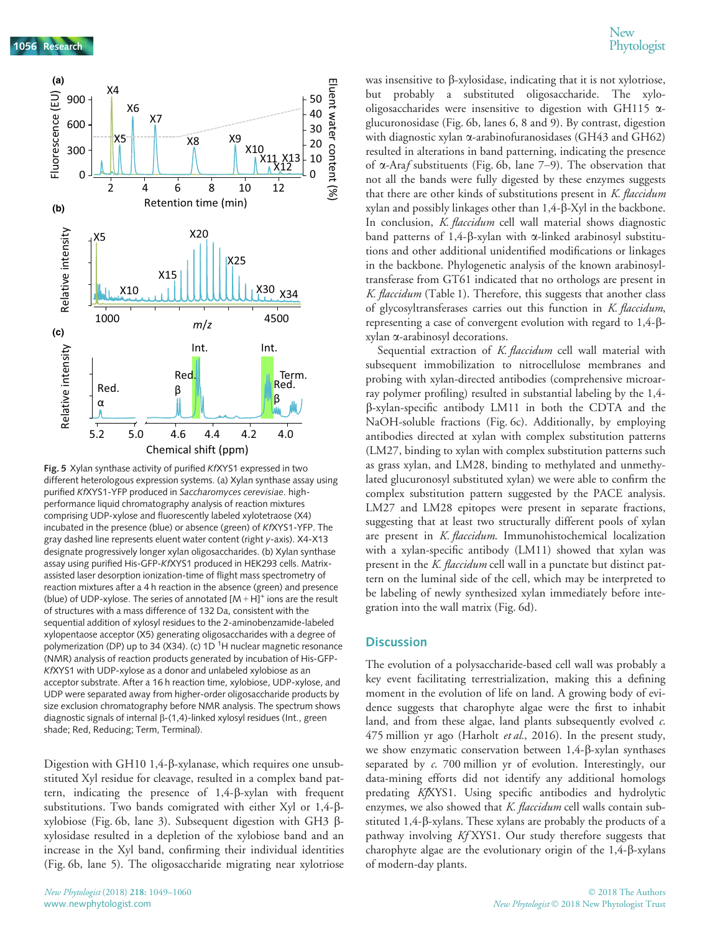

Fig. 5 Xylan synthase activity of purified KfXYS1 expressed in two different heterologous expression systems. (a) Xylan synthase assay using purified KfXYS1-YFP produced in Saccharomyces cerevisiae. highperformance liquid chromatography analysis of reaction mixtures comprising UDP-xylose and fluorescently labeled xylotetraose (X4) incubated in the presence (blue) or absence (green) of KfXYS1-YFP. The gray dashed line represents eluent water content (right y-axis). X4-X13 designate progressively longer xylan oligosaccharides. (b) Xylan synthase assay using purified His-GFP-KfXYS1 produced in HEK293 cells. Matrixassisted laser desorption ionization-time of flight mass spectrometry of reaction mixtures after a 4 h reaction in the absence (green) and presence (blue) of UDP-xylose. The series of annotated  $[M + H]$ <sup>+</sup> ions are the result of structures with a mass difference of 132 Da, consistent with the sequential addition of xylosyl residues to the 2-aminobenzamide-labeled xylopentaose acceptor (X5) generating oligosaccharides with a degree of polymerization (DP) up to 34 (X34). (c) 1D  $^1\!$ H nuclear magnetic resonance (NMR) analysis of reaction products generated by incubation of His-GFP-KfXYS1 with UDP-xylose as a donor and unlabeled xylobiose as an acceptor substrate. After a 16 h reaction time, xylobiose, UDP-xylose, and UDP were separated away from higher-order oligosaccharide products by size exclusion chromatography before NMR analysis. The spectrum shows diagnostic signals of internal  $\beta$ -(1,4)-linked xylosyl residues (Int., green shade; Red, Reducing; Term, Terminal).

Digestion with GH10 1,4- $\beta$ -xylanase, which requires one unsubstituted Xyl residue for cleavage, resulted in a complex band pattern, indicating the presence of  $1,4-\beta$ -xylan with frequent substitutions. Two bands comigrated with either Xyl or 1,4-bxylobiose (Fig. 6b, lane 3). Subsequent digestion with GH3 bxylosidase resulted in a depletion of the xylobiose band and an increase in the Xyl band, confirming their individual identities (Fig. 6b, lane 5). The oligosaccharide migrating near xylotriose

was insensitive to  $\beta$ -xylosidase, indicating that it is not xylotriose, but probably a substituted oligosaccharide. The xylooligosaccharides were insensitive to digestion with GH115  $\alpha$ glucuronosidase (Fig. 6b, lanes 6, 8 and 9). By contrast, digestion with diagnostic xylan  $\alpha$ -arabinofuranosidases (GH43 and GH62) resulted in alterations in band patterning, indicating the presence of  $\alpha$ -Araf substituents (Fig. 6b, lane 7–9). The observation that not all the bands were fully digested by these enzymes suggests that there are other kinds of substitutions present in K. flaccidum xylan and possibly linkages other than 1,4-b-Xyl in the backbone. In conclusion, *K. flaccidum* cell wall material shows diagnostic band patterns of 1,4- $\beta$ -xylan with  $\alpha$ -linked arabinosyl substitutions and other additional unidentified modifications or linkages in the backbone. Phylogenetic analysis of the known arabinosyltransferase from GT61 indicated that no orthologs are present in K. flaccidum (Table 1). Therefore, this suggests that another class of glycosyltransferases carries out this function in K. flaccidum, representing a case of convergent evolution with regard to  $1,4-\beta$ xylan a-arabinosyl decorations.

Sequential extraction of *K. flaccidum* cell wall material with subsequent immobilization to nitrocellulose membranes and probing with xylan-directed antibodies (comprehensive microarray polymer profiling) resulted in substantial labeling by the 1,4 b-xylan-specific antibody LM11 in both the CDTA and the NaOH-soluble fractions (Fig. 6c). Additionally, by employing antibodies directed at xylan with complex substitution patterns (LM27, binding to xylan with complex substitution patterns such as grass xylan, and LM28, binding to methylated and unmethylated glucuronosyl substituted xylan) we were able to confirm the complex substitution pattern suggested by the PACE analysis. LM27 and LM28 epitopes were present in separate fractions, suggesting that at least two structurally different pools of xylan are present in K. flaccidum. Immunohistochemical localization with a xylan-specific antibody (LM11) showed that xylan was present in the K. flaccidum cell wall in a punctate but distinct pattern on the luminal side of the cell, which may be interpreted to be labeling of newly synthesized xylan immediately before integration into the wall matrix (Fig. 6d).

#### **Discussion**

The evolution of a polysaccharide-based cell wall was probably a key event facilitating terrestrialization, making this a defining moment in the evolution of life on land. A growing body of evidence suggests that charophyte algae were the first to inhabit land, and from these algae, land plants subsequently evolved  $c$ . 475 million yr ago (Harholt et al., 2016). In the present study, we show enzymatic conservation between  $1,4$ - $\beta$ -xylan synthases separated by c. 700 million yr of evolution. Interestingly, our data-mining efforts did not identify any additional homologs predating KfXYS1. Using specific antibodies and hydrolytic enzymes, we also showed that K. flaccidum cell walls contain substituted 1,4-b-xylans. These xylans are probably the products of a pathway involving Kf XYS1. Our study therefore suggests that charophyte algae are the evolutionary origin of the 1,4- $\beta$ -xylans of modern-day plants.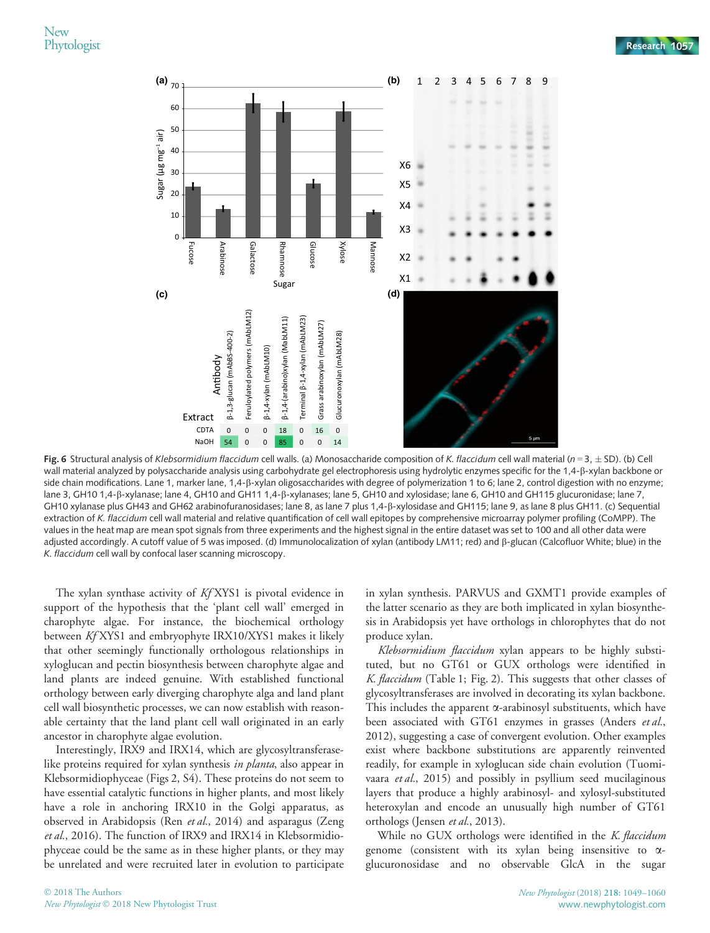

Fig. 6 Structural analysis of Klebsormidium flaccidum cell walls. (a) Monosaccharide composition of K. flaccidum cell wall material (n = 3,  $\pm$  SD). (b) Cell wall material analyzed by polysaccharide analysis using carbohydrate gel electrophoresis using hydrolytic enzymes specific for the 1,4- $\beta$ -xylan backbone or side chain modifications. Lane 1, marker lane, 1,4- $\beta$ -xylan oligosaccharides with degree of polymerization 1 to 6; lane 2, control digestion with no enzyme; lane 3, GH10 1,4- $\beta$ -xylanase; lane 4, GH10 and GH11 1,4- $\beta$ -xylanases; lane 5, GH10 and xylosidase; lane 6, GH10 and GH115 glucuronidase; lane 7, GH10 xylanase plus GH43 and GH62 arabinofuranosidases; lane 8, as lane 7 plus 1,4-β-xylosidase and GH115; lane 9, as lane 8 plus GH11. (c) Sequential extraction of K. flaccidum cell wall material and relative quantification of cell wall epitopes by comprehensive microarray polymer profiling (CoMPP). The values in the heat map are mean spot signals from three experiments and the highest signal in the entire dataset was set to 100 and all other data were adjusted accordingly. A cutoff value of 5 was imposed. (d) Immunolocalization of xylan (antibody LM11; red) and b-glucan (Calcofluor White; blue) in the K. flaccidum cell wall by confocal laser scanning microscopy.

The xylan synthase activity of KfXYS1 is pivotal evidence in support of the hypothesis that the 'plant cell wall' emerged in charophyte algae. For instance, the biochemical orthology between Kf XYS1 and embryophyte IRX10/XYS1 makes it likely that other seemingly functionally orthologous relationships in xyloglucan and pectin biosynthesis between charophyte algae and land plants are indeed genuine. With established functional orthology between early diverging charophyte alga and land plant cell wall biosynthetic processes, we can now establish with reasonable certainty that the land plant cell wall originated in an early ancestor in charophyte algae evolution.

Interestingly, IRX9 and IRX14, which are glycosyltransferaselike proteins required for xylan synthesis in planta, also appear in Klebsormidiophyceae (Figs 2, S4). These proteins do not seem to have essential catalytic functions in higher plants, and most likely have a role in anchoring IRX10 in the Golgi apparatus, as observed in Arabidopsis (Ren et al., 2014) and asparagus (Zeng et al., 2016). The function of IRX9 and IRX14 in Klebsormidiophyceae could be the same as in these higher plants, or they may be unrelated and were recruited later in evolution to participate in xylan synthesis. PARVUS and GXMT1 provide examples of the latter scenario as they are both implicated in xylan biosynthesis in Arabidopsis yet have orthologs in chlorophytes that do not produce xylan.

Klebsormidium flaccidum xylan appears to be highly substituted, but no GT61 or GUX orthologs were identified in K. flaccidum (Table 1; Fig. 2). This suggests that other classes of glycosyltransferases are involved in decorating its xylan backbone. This includes the apparent  $\alpha$ -arabinosyl substituents, which have been associated with GT61 enzymes in grasses (Anders et al., 2012), suggesting a case of convergent evolution. Other examples exist where backbone substitutions are apparently reinvented readily, for example in xyloglucan side chain evolution (Tuomivaara et al., 2015) and possibly in psyllium seed mucilaginous layers that produce a highly arabinosyl- and xylosyl-substituted heteroxylan and encode an unusually high number of GT61 orthologs (Jensen et al., 2013).

While no GUX orthologs were identified in the K. flaccidum genome (consistent with its xylan being insensitive to aglucuronosidase and no observable GlcA in the sugar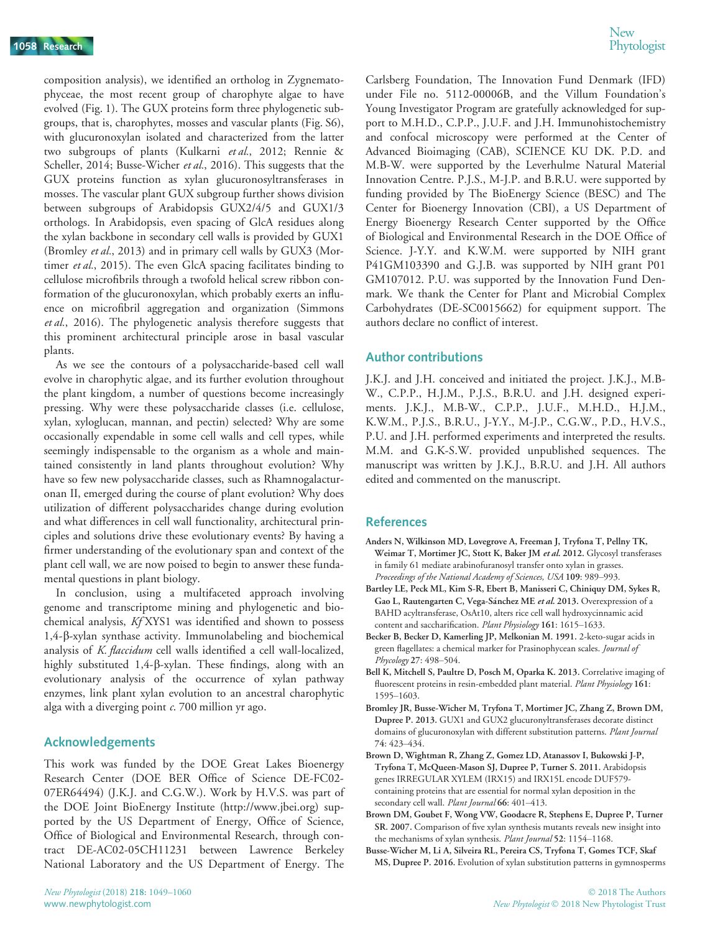composition analysis), we identified an ortholog in Zygnematophyceae, the most recent group of charophyte algae to have evolved (Fig. 1). The GUX proteins form three phylogenetic subgroups, that is, charophytes, mosses and vascular plants (Fig. S6), with glucuronoxylan isolated and characterized from the latter two subgroups of plants (Kulkarni et al., 2012; Rennie & Scheller, 2014; Busse-Wicher et al., 2016). This suggests that the GUX proteins function as xylan glucuronosyltransferases in mosses. The vascular plant GUX subgroup further shows division between subgroups of Arabidopsis GUX2/4/5 and GUX1/3 orthologs. In Arabidopsis, even spacing of GlcA residues along the xylan backbone in secondary cell walls is provided by GUX1 (Bromley et al., 2013) and in primary cell walls by GUX3 (Mortimer et al., 2015). The even GlcA spacing facilitates binding to cellulose microfibrils through a twofold helical screw ribbon conformation of the glucuronoxylan, which probably exerts an influence on microfibril aggregation and organization (Simmons et al., 2016). The phylogenetic analysis therefore suggests that this prominent architectural principle arose in basal vascular plants.

As we see the contours of a polysaccharide-based cell wall evolve in charophytic algae, and its further evolution throughout the plant kingdom, a number of questions become increasingly pressing. Why were these polysaccharide classes (i.e. cellulose, xylan, xyloglucan, mannan, and pectin) selected? Why are some occasionally expendable in some cell walls and cell types, while seemingly indispensable to the organism as a whole and maintained consistently in land plants throughout evolution? Why have so few new polysaccharide classes, such as Rhamnogalacturonan II, emerged during the course of plant evolution? Why does utilization of different polysaccharides change during evolution and what differences in cell wall functionality, architectural principles and solutions drive these evolutionary events? By having a firmer understanding of the evolutionary span and context of the plant cell wall, we are now poised to begin to answer these fundamental questions in plant biology.

In conclusion, using a multifaceted approach involving genome and transcriptome mining and phylogenetic and biochemical analysis, Kf XYS1 was identified and shown to possess 1,4-b-xylan synthase activity. Immunolabeling and biochemical analysis of K. flaccidum cell walls identified a cell wall-localized, highly substituted 1,4-b-xylan. These findings, along with an evolutionary analysis of the occurrence of xylan pathway enzymes, link plant xylan evolution to an ancestral charophytic alga with a diverging point  $c$ . 700 million yr ago.

## Acknowledgements

This work was funded by the DOE Great Lakes Bioenergy Research Center (DOE BER Office of Science DE-FC02- 07ER64494) (J.K.J. and C.G.W.). Work by H.V.S. was part of the DOE Joint BioEnergy Institute (<http://www.jbei.org>) supported by the US Department of Energy, Office of Science, Office of Biological and Environmental Research, through contract DE-AC02-05CH11231 between Lawrence Berkeley National Laboratory and the US Department of Energy. The

Carlsberg Foundation, The Innovation Fund Denmark (IFD) under File no. 5112-00006B, and the Villum Foundation's Young Investigator Program are gratefully acknowledged for support to M.H.D., C.P.P., J.U.F. and J.H. Immunohistochemistry and confocal microscopy were performed at the Center of Advanced Bioimaging (CAB), SCIENCE KU DK. P.D. and M.B-W. were supported by the Leverhulme Natural Material Innovation Centre. P.J.S., M-J.P. and B.R.U. were supported by funding provided by The BioEnergy Science (BESC) and The Center for Bioenergy Innovation (CBI), a US Department of Energy Bioenergy Research Center supported by the Office of Biological and Environmental Research in the DOE Office of Science. J-Y.Y. and K.W.M. were supported by NIH grant P41GM103390 and G.J.B. was supported by NIH grant P01 GM107012. P.U. was supported by the Innovation Fund Denmark. We thank the Center for Plant and Microbial Complex Carbohydrates (DE-SC0015662) for equipment support. The authors declare no conflict of interest.

#### Author contributions

J.K.J. and J.H. conceived and initiated the project. J.K.J., M.B-W., C.P.P., H.J.M., P.J.S., B.R.U. and J.H. designed experiments. J.K.J., M.B-W., C.P.P., J.U.F., M.H.D., H.J.M., K.W.M., P.J.S., B.R.U., J-Y.Y., M-J.P., C.G.W., P.D., H.V.S., P.U. and J.H. performed experiments and interpreted the results. M.M. and G.K-S.W. provided unpublished sequences. The manuscript was written by J.K.J., B.R.U. and J.H. All authors edited and commented on the manuscript.

#### References

- Anders N, Wilkinson MD, Lovegrove A, Freeman J, Tryfona T, Pellny TK, Weimar T, Mortimer JC, Stott K, Baker JM et al. 2012. Glycosyl transferases in family 61 mediate arabinofuranosyl transfer onto xylan in grasses. Proceedings of the National Academy of Sciences, USA 109: 989–993.
- Bartley LE, Peck ML, Kim S-R, Ebert B, Manisseri C, Chiniquy DM, Sykes R, Gao L, Rautengarten C, Vega-Sánchez ME et al. 2013. Overexpression of a BAHD acyltransferase, OsAt10, alters rice cell wall hydroxycinnamic acid content and saccharification. Plant Physiology 161: 1615–1633.
- Becker B, Becker D, Kamerling JP, Melkonian M. 1991. 2-keto-sugar acids in green flagellates: a chemical marker for Prasinophycean scales. Journal of Phycology 27: 498–504.
- Bell K, Mitchell S, Paultre D, Posch M, Oparka K. 2013. Correlative imaging of fluorescent proteins in resin-embedded plant material. Plant Physiology 161: 1595–1603.
- Bromley JR, Busse-Wicher M, Tryfona T, Mortimer JC, Zhang Z, Brown DM, Dupree P. 2013. GUX1 and GUX2 glucuronyltransferases decorate distinct domains of glucuronoxylan with different substitution patterns. Plant Journal 74: 423–434.
- Brown D, Wightman R, Zhang Z, Gomez LD, Atanassov I, Bukowski J-P, Tryfona T, McQueen-Mason SJ, Dupree P, Turner S. 2011. Arabidopsis genes IRREGULAR XYLEM (IRX15) and IRX15L encode DUF579 containing proteins that are essential for normal xylan deposition in the secondary cell wall. Plant Journal 66: 401-413.
- Brown DM, Goubet F, Wong VW, Goodacre R, Stephens E, Dupree P, Turner SR. 2007. Comparison of five xylan synthesis mutants reveals new insight into the mechanisms of xylan synthesis. Plant Journal 52: 1154-1168.
- Busse-Wicher M, Li A, Silveira RL, Pereira CS, Tryfona T, Gomes TCF, Skaf MS, Dupree P. 2016. Evolution of xylan substitution patterns in gymnosperms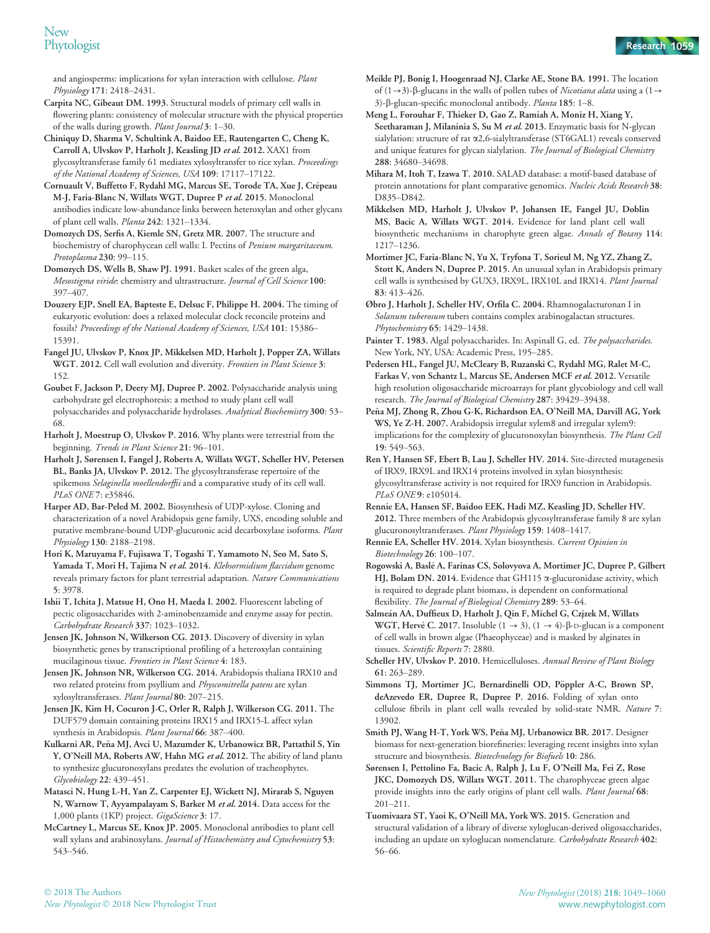and angiosperms: implications for xylan interaction with cellulose. Plant Physiology 171: 2418–2431.

Carpita NC, Gibeaut DM. 1993. Structural models of primary cell walls in flowering plants: consistency of molecular structure with the physical properties of the walls during growth. Plant Journal 3: 1–30.

Chiniquy D, Sharma V, Schultink A, Baidoo EE, Rautengarten C, Cheng K, Carroll A, Ulvskov P, Harholt J, Keasling JD et al. 2012. XAX1 from glycosyltransferase family 61 mediates xylosyltransfer to rice xylan. Proceedings of the National Academy of Sciences, USA 109: 17117–17122.

Cornuault V, Buffetto F, Rydahl MG, Marcus SE, Torode TA, Xue J, Crépeau M-J, Faria-Blanc N, Willats WGT, Dupree P et al. 2015. Monoclonal antibodies indicate low-abundance links between heteroxylan and other glycans of plant cell walls. Planta 242: 1321–1334.

Domozych DS, Serfis A, Kiemle SN, Gretz MR. 2007. The structure and biochemistry of charophycean cell walls: I. Pectins of Penium margaritaceum. Protoplasma 230: 99–115.

Domozych DS, Wells B, Shaw PJ. 1991. Basket scales of the green alga, Mesostigma viride: chemistry and ultrastructure. Journal of Cell Science 100: 397–407.

Douzery EJP, Snell EA, Bapteste E, Delsuc F, Philippe H. 2004. The timing of eukaryotic evolution: does a relaxed molecular clock reconcile proteins and fossils? Proceedings of the National Academy of Sciences, USA 101: 15386– 15391.

Fangel JU, Ulvskov P, Knox JP, Mikkelsen MD, Harholt J, Popper ZA, Willats WGT. 2012. Cell wall evolution and diversity. Frontiers in Plant Science 3: 152.

Goubet F, Jackson P, Deery MJ, Dupree P. 2002. Polysaccharide analysis using carbohydrate gel electrophoresis: a method to study plant cell wall polysaccharides and polysaccharide hydrolases. Analytical Biochemistry 300: 53– 68.

Harholt J, Moestrup O, Ulvskov P. 2016. Why plants were terrestrial from the beginning. Trends in Plant Science 21: 96-101.

Harholt J, Sørensen I, Fangel J, Roberts A, Willats WGT, Scheller HV, Petersen BL, Banks JA, Ulvskov P. 2012. The glycosyltransferase repertoire of the spikemoss Selaginella moellendorffii and a comparative study of its cell wall. PLoS ONE 7: e35846.

Harper AD, Bar-Peled M. 2002. Biosynthesis of UDP-xylose. Cloning and characterization of a novel Arabidopsis gene family, UXS, encoding soluble and putative membrane-bound UDP-glucuronic acid decarboxylase isoforms. Plant Physiology 130: 2188–2198.

Hori K, Maruyama F, Fujisawa T, Togashi T, Yamamoto N, Seo M, Sato S, Yamada T, Mori H, Tajima N et al. 2014. Klebsormidium flaccidum genome reveals primary factors for plant terrestrial adaptation. Nature Communications 5: 3978.

Ishii T, Ichita J, Matsue H, Ono H, Maeda I. 2002. Fluorescent labeling of pectic oligosaccharides with 2-aminobenzamide and enzyme assay for pectin. Carbohydrate Research 337: 1023–1032.

Jensen JK, Johnson N, Wilkerson CG. 2013. Discovery of diversity in xylan biosynthetic genes by transcriptional profiling of a heteroxylan containing mucilaginous tissue. Frontiers in Plant Science 4: 183.

Jensen JK, Johnson NR, Wilkerson CG. 2014. Arabidopsis thaliana IRX10 and two related proteins from psyllium and Physcomitrella patens are xylan xylosyltransferases. Plant Journal 80: 207–215.

Jensen JK, Kim H, Cocuron J-C, Orler R, Ralph J, Wilkerson CG. 2011. The DUF579 domain containing proteins IRX15 and IRX15-L affect xylan synthesis in Arabidopsis. Plant Journal 66: 387-400.

Kulkarni AR, Pena MJ, Avci U, Mazumder K, Urbanowicz BR, Pattathil S, Yin ~ Y, O'Neill MA, Roberts AW, Hahn MG et al. 2012. The ability of land plants to synthesize glucuronoxylans predates the evolution of tracheophytes. Glycobiology 22: 439–451.

Matasci N, Hung L-H, Yan Z, Carpenter EJ, Wickett NJ, Mirarab S, Nguyen N, Warnow T, Ayyampalayam S, Barker M et al. 2014. Data access for the 1,000 plants (1KP) project. GigaScience 3: 17.

McCartney L, Marcus SE, Knox JP. 2005. Monoclonal antibodies to plant cell wall xylans and arabinoxylans. Journal of Histochemistry and Cytochemistry 53: 543–546.

Meikle PJ, Bonig I, Hoogenraad NJ, Clarke AE, Stone BA. 1991. The location of  $(1 \rightarrow 3)$ - $\beta$ -glucans in the walls of pollen tubes of *Nicotiana alata* using a  $(1 \rightarrow$ 3)-β-glucan-specific monoclonal antibody. Planta 185: 1-8.

Meng L, Forouhar F, Thieker D, Gao Z, Ramiah A, Moniz H, Xiang Y, Seetharaman J, Milaninia S, Su M et al. 2013. Enzymatic basis for N-glycan sialylation: structure of rat a2,6-sialyltransferase (ST6GAL1) reveals conserved and unique features for glycan sialylation. The Journal of Biological Chemistry 288: 34680–34698.

Mihara M, Itoh T, Izawa T. 2010. SALAD database: a motif-based database of protein annotations for plant comparative genomics. Nucleic Acids Research 38: D835–D842.

Mikkelsen MD, Harholt J, Ulvskov P, Johansen IE, Fangel JU, Doblin MS, Bacic A, Willats WGT. 2014. Evidence for land plant cell wall biosynthetic mechanisms in charophyte green algae. Annals of Botany 114: 1217–1236.

Mortimer JC, Faria-Blanc N, Yu X, Tryfona T, Sorieul M, Ng YZ, Zhang Z, Stott K, Anders N, Dupree P. 2015. An unusual xylan in Arabidopsis primary cell walls is synthesised by GUX3, IRX9L, IRX10L and IRX14. Plant Journal 83: 413–426.

Øbro J, Harholt J, Scheller HV, Orfila C. 2004. Rhamnogalacturonan I in Solanum tuberosum tubers contains complex arabinogalactan structures. Phytochemistry 65: 1429-1438.

Painter T. 1983. Algal polysaccharides. In: Aspinall G, ed. The polysaccharides. New York, NY, USA: Academic Press, 195–285.

Pedersen HL, Fangel JU, McCleary B, Ruzanski C, Rydahl MG, Ralet M-C, Farkas V, von Schantz L, Marcus SE, Andersen MCF et al. 2012. Versatile high resolution oligosaccharide microarrays for plant glycobiology and cell wall research. The Journal of Biological Chemistry 287: 39429–39438.

Pena MJ, Zhong R, Zhou G-K, Richardson EA, O'Neill MA, Darvill AG, York ~ WS, Ye Z-H. 2007. Arabidopsis irregular xylem8 and irregular xylem9: implications for the complexity of glucuronoxylan biosynthesis. The Plant Cell 19: 549–563.

Ren Y, Hansen SF, Ebert B, Lau J, Scheller HV. 2014. Site-directed mutagenesis of IRX9, IRX9L and IRX14 proteins involved in xylan biosynthesis: glycosyltransferase activity is not required for IRX9 function in Arabidopsis. PLoS ONE 9: e105014.

Rennie EA, Hansen SF, Baidoo EEK, Hadi MZ, Keasling JD, Scheller HV. 2012. Three members of the Arabidopsis glycosyltransferase family 8 are xylan glucuronosyltransferases. Plant Physiology 159: 1408–1417.

Rennie EA, Scheller HV. 2014. Xylan biosynthesis. Current Opinion in Biotechnology 26: 100–107.

Rogowski A, Baslé A, Farinas CS, Solovyova A, Mortimer JC, Dupree P, Gilbert HJ, Bolam DN. 2014. Evidence that GH115  $\alpha$ -glucuronidase activity, which is required to degrade plant biomass, is dependent on conformational flexibility. The Journal of Biological Chemistry 289: 53-64.

Salmeán AA, Duffieux D, Harholt J, Qin F, Michel G, Czjzek M, Willats WGT, Hervé C. 2017. Insoluble  $(1 \rightarrow 3)$ ,  $(1 \rightarrow 4)$ - $\beta$ -D-glucan is a component of cell walls in brown algae (Phaeophyceae) and is masked by alginates in tissues. Scientific Reports 7: 2880.

Scheller HV, Ulvskov P. 2010. Hemicelluloses. Annual Review of Plant Biology 61: 263–289.

Simmons TJ, Mortimer JC, Bernardinelli OD, Pöppler A-C, Brown SP, deAzevedo ER, Dupree R, Dupree P. 2016. Folding of xylan onto cellulose fibrils in plant cell walls revealed by solid-state NMR. Nature 7: 13902.

Smith PJ, Wang H-T, York WS, Peña MJ, Urbanowicz BR. 2017. Designer biomass for next-generation biorefineries: leveraging recent insights into xylan structure and biosynthesis. Biotechnology for Biofuels 10: 286.

Sørensen I, Pettolino Fa, Bacic A, Ralph J, Lu F, O'Neill Ma, Fei Z, Rose JKC, Domozych DS, Willats WGT. 2011. The charophyceae green algae provide insights into the early origins of plant cell walls. Plant Journal 68: 201–211.

Tuomivaara ST, Yaoi K, O'Neill MA, York WS. 2015. Generation and structural validation of a library of diverse xyloglucan-derived oligosaccharides, including an update on xyloglucan nomenclature. Carbohydrate Research 402: 56–66.